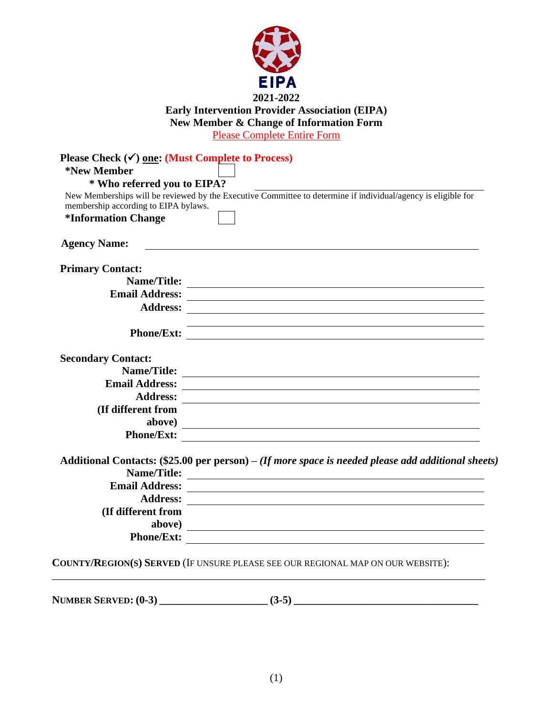

## **Early Intervention Provider Association (EIPA) New Member & Change of Information Form**

Please Complete Entire Form

| Please Check $(\checkmark)$ one: (Must Complete to Process)               |                                                                                                               |
|---------------------------------------------------------------------------|---------------------------------------------------------------------------------------------------------------|
| *New Member                                                               |                                                                                                               |
| * Who referred you to EIPA?                                               |                                                                                                               |
|                                                                           | New Memberships will be reviewed by the Executive Committee to determine if individual/agency is eligible for |
| membership according to EIPA bylaws.<br><i><b>*Information Change</b></i> |                                                                                                               |
|                                                                           |                                                                                                               |
| <b>Agency Name:</b>                                                       |                                                                                                               |
| <b>Primary Contact:</b>                                                   |                                                                                                               |
|                                                                           |                                                                                                               |
|                                                                           | Name/Title:                                                                                                   |
|                                                                           |                                                                                                               |
|                                                                           |                                                                                                               |
|                                                                           |                                                                                                               |
|                                                                           |                                                                                                               |
| <b>Secondary Contact:</b>                                                 |                                                                                                               |
|                                                                           |                                                                                                               |
|                                                                           |                                                                                                               |
|                                                                           |                                                                                                               |
| (If different from                                                        |                                                                                                               |
| above)                                                                    |                                                                                                               |
|                                                                           | Phone/Ext:                                                                                                    |
|                                                                           |                                                                                                               |
|                                                                           | Additional Contacts: $(\$25.00$ per person) – (If more space is needed please add additional sheets)          |
|                                                                           |                                                                                                               |
|                                                                           |                                                                                                               |
|                                                                           |                                                                                                               |
| (If different from                                                        |                                                                                                               |
|                                                                           |                                                                                                               |
|                                                                           | Phone/Ext:                                                                                                    |
|                                                                           | COUNTY/REGION(S) SERVED (IF UNSURE PLEASE SEE OUR REGIONAL MAP ON OUR WEBSITE):                               |
|                                                                           |                                                                                                               |
|                                                                           |                                                                                                               |